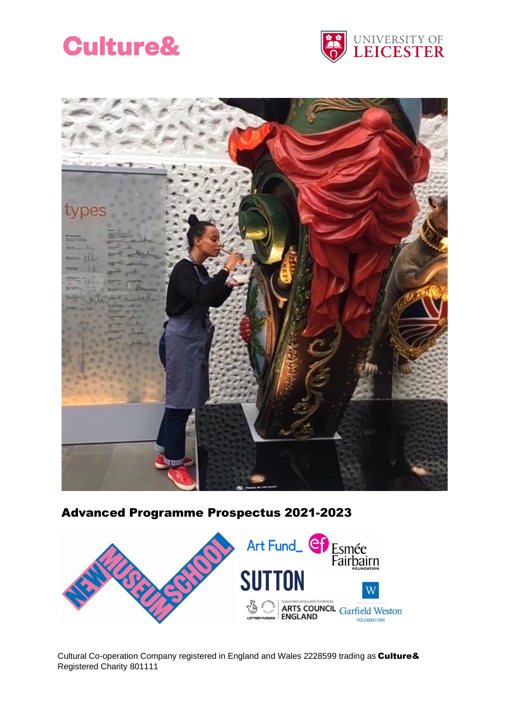<span id="page-0-0"></span>





# Advanced Programme Prospectus 2021-2023



Cultural Co-operation Company registered in England and Wales 2228599 trading as Culture& Registered Charity 801111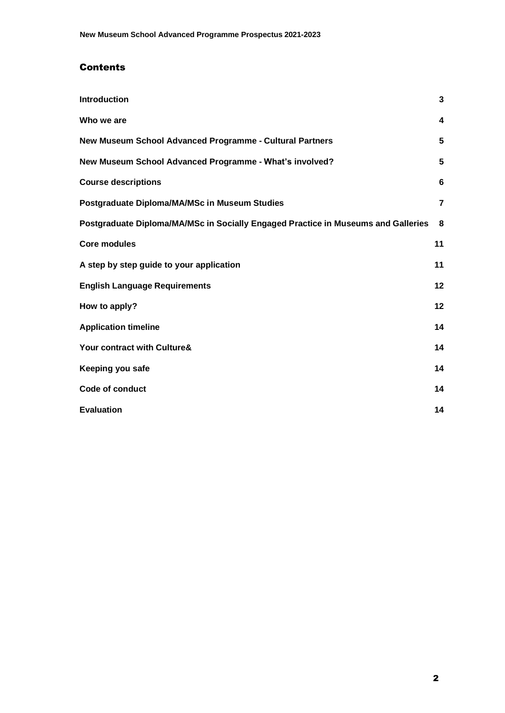## **Contents**

| <b>Introduction</b>                                                               | 3              |
|-----------------------------------------------------------------------------------|----------------|
| Who we are                                                                        | 4              |
| New Museum School Advanced Programme - Cultural Partners                          | 5              |
| New Museum School Advanced Programme - What's involved?                           | 5              |
| <b>Course descriptions</b>                                                        | 6              |
| Postgraduate Diploma/MA/MSc in Museum Studies                                     | $\overline{7}$ |
| Postgraduate Diploma/MA/MSc in Socially Engaged Practice in Museums and Galleries | 8              |
| <b>Core modules</b>                                                               | 11             |
| A step by step guide to your application                                          | 11             |
| <b>English Language Requirements</b>                                              | 12             |
| How to apply?                                                                     | 12             |
| <b>Application timeline</b>                                                       | 14             |
| Your contract with Culture&                                                       | 14             |
| Keeping you safe                                                                  | 14             |
| <b>Code of conduct</b>                                                            | 14             |
| <b>Evaluation</b>                                                                 | 14             |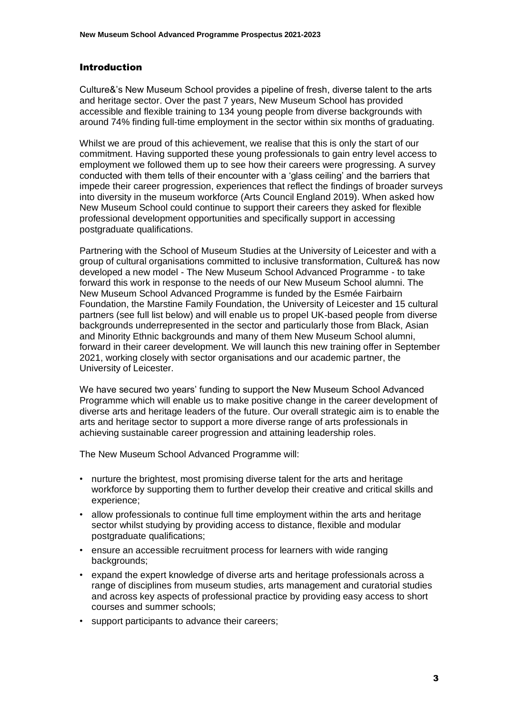#### Introduction

Culture&'s New Museum School provides a pipeline of fresh, diverse talent to the arts and heritage sector. Over the past 7 years, New Museum School has provided accessible and flexible training to 134 young people from diverse backgrounds with around 74% finding full-time employment in the sector within six months of graduating.

Whilst we are proud of this achievement, we realise that this is only the start of our commitment. Having supported these young professionals to gain entry level access to employment we followed them up to see how their careers were progressing. A survey conducted with them tells of their encounter with a 'glass ceiling' and the barriers that impede their career progression, experiences that reflect the findings of broader surveys into diversity in the museum workforce (Arts Council England 2019). When asked how New Museum School could continue to support their careers they asked for flexible professional development opportunities and specifically support in accessing postgraduate qualifications.

Partnering with the School of Museum Studies at the University of Leicester and with a group of cultural organisations committed to inclusive transformation, Culture& has now developed a new model - The New Museum School Advanced Programme - to take forward this work in response to the needs of our New Museum School alumni. The New Museum School Advanced Programme is funded by the Esmée Fairbairn Foundation, the Marstine Family Foundation, the University of Leicester and 15 cultural partners (see full list below) and will enable us to propel UK-based people from diverse backgrounds underrepresented in the sector and particularly those from Black, Asian and Minority Ethnic backgrounds and many of them New Museum School alumni, forward in their career development. We will launch this new training offer in September 2021, working closely with sector organisations and our academic partner, the University of Leicester.

We have secured two years' funding to support the New Museum School Advanced Programme which will enable us to make positive change in the career development of diverse arts and heritage leaders of the future. Our overall strategic aim is to enable the arts and heritage sector to support a more diverse range of arts professionals in achieving sustainable career progression and attaining leadership roles.

The New Museum School Advanced Programme will:

- nurture the brightest, most promising diverse talent for the arts and heritage workforce by supporting them to further develop their creative and critical skills and experience;
- allow professionals to continue full time employment within the arts and heritage sector whilst studying by providing access to distance, flexible and modular postgraduate qualifications;
- ensure an accessible recruitment process for learners with wide ranging backgrounds;
- expand the expert knowledge of diverse arts and heritage professionals across a range of disciplines from museum studies, arts management and curatorial studies and across key aspects of professional practice by providing easy access to short courses and summer schools;
- support participants to advance their careers;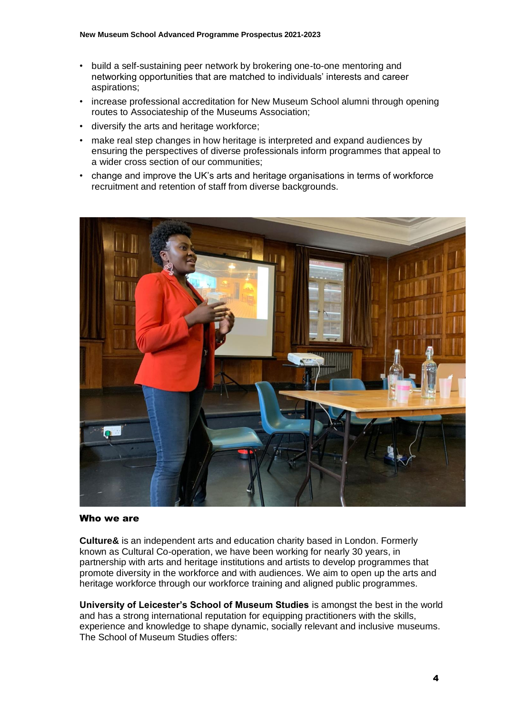- build a self-sustaining peer network by brokering one-to-one mentoring and networking opportunities that are matched to individuals' interests and career aspirations;
- increase professional accreditation for New Museum School alumni through opening routes to Associateship of the Museums Association;
- diversify the arts and heritage workforce;
- make real step changes in how heritage is interpreted and expand audiences by ensuring the perspectives of diverse professionals inform programmes that appeal to a wider cross section of our communities;
- change and improve the UK's arts and heritage organisations in terms of workforce recruitment and retention of staff from diverse backgrounds.



#### Who we are

**Culture&** is an independent arts and education charity based in London. Formerly known as Cultural Co-operation, we have been working for nearly 30 years, in partnership with arts and heritage institutions and artists to develop programmes that promote diversity in the workforce and with audiences. We aim to open up the arts and heritage workforce through our workforce training and aligned public programmes.

**University of Leicester's School of Museum Studies** is amongst the best in the world and has a strong international reputation for equipping practitioners with the skills, experience and knowledge to shape dynamic, socially relevant and inclusive museums. The School of Museum Studies offers: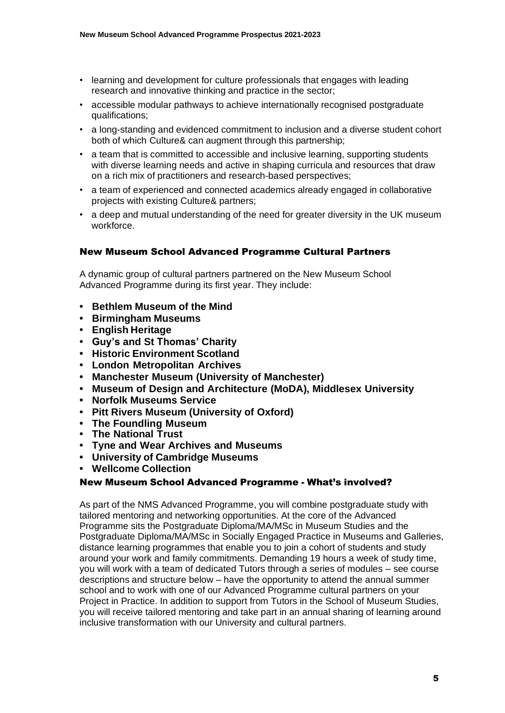- learning and development for culture professionals that engages with leading research and innovative thinking and practice in the sector;
- accessible modular pathways to achieve internationally recognised postgraduate qualifications;
- a long-standing and evidenced commitment to inclusion and a diverse student cohort both of which Culture& can augment through this partnership;
- a team that is committed to accessible and inclusive learning, supporting students with diverse learning needs and active in shaping curricula and resources that draw on a rich mix of practitioners and research-based perspectives;
- a team of experienced and connected academics already engaged in collaborative projects with existing Culture& partners;
- <span id="page-4-0"></span>• a deep and mutual understanding of the need for greater diversity in the UK museum workforce.

## New Museum School Advanced Programme Cultural Partners

A dynamic group of cultural partners partnered on the New Museum School Advanced Programme during its first year. They include:

- **• Bethlem [Museum](https://museumofthemind.org.uk/) of the Mind**
- **• [Birmingham](https://www.birminghammuseums.org.uk/) Museums**
- **• English [Heritage](https://www.english-heritage.org.uk/)**
- **• Guy's and St [Thomas'](https://gsttfoundation.org.uk/about-us/) Charity**
- **• Historic [Environment](https://www.historicenvironment.scot/) Scotland**
- **• London [Metropolitan](https://www.cityoflondon.gov.uk/things-to-do/history-and-heritage/london-metropolitan-archives) Archives**
- **• Manchester Museum (University of [Manchester\)](https://www.museum.manchester.ac.uk/)**
- **• Museum of Design and [Architecture](https://moda.mdx.ac.uk/) (MoDA), Middlesex University**
- **• Norfolk [Museums](https://www.museums.norfolk.gov.uk/) Service**
- **• [Pitt Rivers Museum](https://www.prm.ox.ac.uk/) (University of Oxford)**
- **• The [Foundling](https://foundlingmuseum.org.uk/) Museum**
- **• The [National](https://www.nationaltrust.org.uk/) Trust**
- **• Tyne and Wear Archives and [Museums](https://www.twmuseums.org.uk/)**
- **• University of [Cambridge](https://www.museums.cam.ac.uk/) Museums**
- <span id="page-4-1"></span>**• Wellcome [Collection](https://wellcomecollection.org/)**

#### New Museum School Advanced Programme - What's involved?

As part of the NMS Advanced Programme, you will combine postgraduate study with tailored mentoring and networking opportunities. At the core of the Advanced Programme sits the Postgraduate Diploma/MA/MSc in Museum Studies and the Postgraduate Diploma/MA/MSc in Socially Engaged Practice in Museums and Galleries, distance learning programmes that enable you to join a cohort of students and study around your work and family commitments. Demanding 19 hours a week of study time, you will work with a team of dedicated Tutors through a series of modules – see course descriptions and structure below – have the opportunity to attend the annual summer school and to work with one of our Advanced Programme cultural partners on your Project in Practice. In addition to support from Tutors in the School of Museum Studies, you will receive tailored mentoring and take part in an annual sharing of learning around inclusive transformation with our University and cultural partners.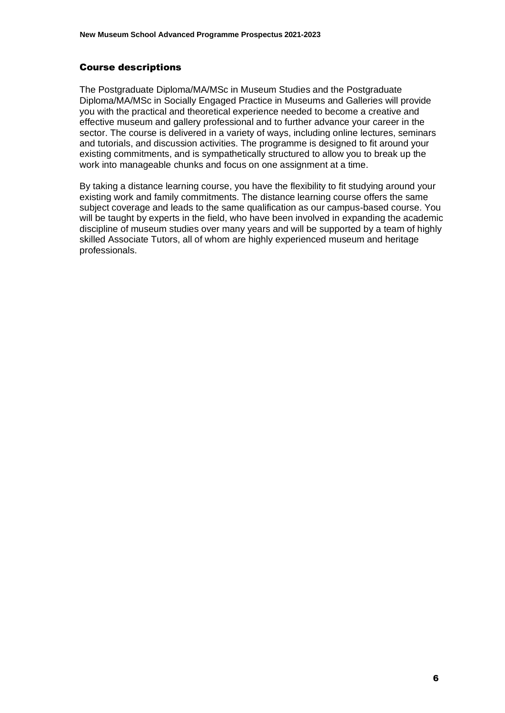#### <span id="page-5-0"></span>Course descriptions

The Postgraduate Diploma/MA/MSc in Museum Studies and the Postgraduate Diploma/MA/MSc in Socially Engaged Practice in Museums and Galleries will provide you with the practical and theoretical experience needed to become a creative and effective museum and gallery professional and to further advance your career in the sector. The course is delivered in a variety of ways, including online lectures, seminars and tutorials, and discussion activities. The programme is designed to fit around your existing commitments, and is sympathetically structured to allow you to break up the work into manageable chunks and focus on one assignment at a time.

By taking a distance learning course, you have the flexibility to fit studying around your existing work and family commitments. The distance learning course offers the same subject coverage and leads to the same qualification as our campus-based course. You will be taught by experts in the field, who have been involved in expanding the academic discipline of museum studies over many years and will be supported by a team of highly skilled Associate Tutors, all of whom are highly experienced museum and heritage professionals.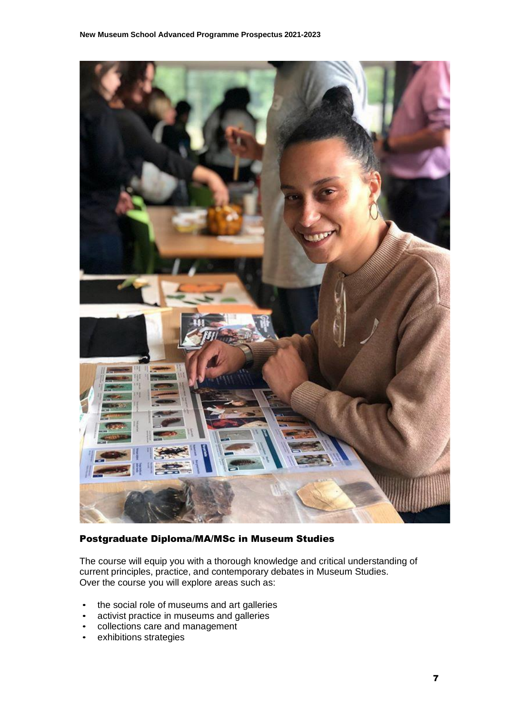

## <span id="page-6-0"></span>Postgraduate Diploma/MA/MSc in Museum Studies

The course will equip you with a thorough knowledge and critical understanding of current principles, practice, and contemporary debates in Museum Studies. Over the course you will explore areas such as:

- the social role of museums and art galleries
- activist practice in museums and galleries
- collections care and management
- exhibitions strategies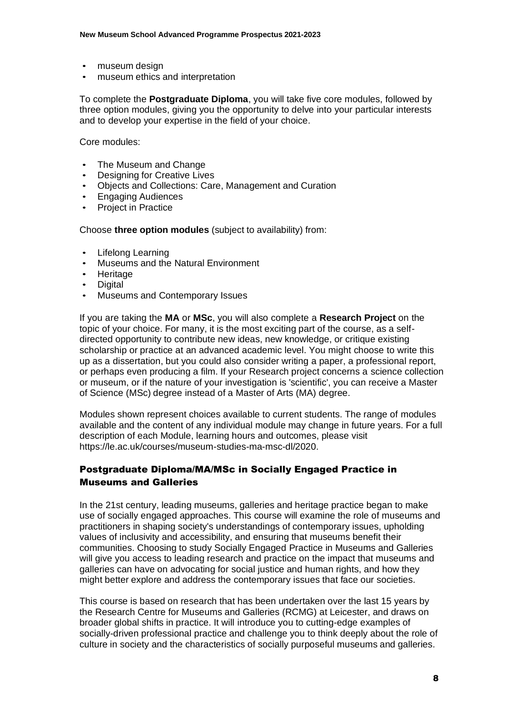- museum design
- museum ethics and interpretation

To complete the **Postgraduate Diploma**, you will take five core modules, followed by three option modules, giving you the opportunity to delve into your particular interests and to develop your expertise in the field of your choice.

Core modules:

- The Museum and Change
- **Designing for Creative Lives**
- Objects and Collections: Care, Management and Curation
- Engaging Audiences
- Project in Practice

Choose **three option modules** (subject to availability) from:

- Lifelong Learning
- Museums and the Natural Environment
- **Heritage**
- **Digital**
- Museums and Contemporary Issues

If you are taking the **MA** or **MSc**, you will also complete a **Research Project** on the topic of your choice. For many, it is the most exciting part of the course, as a selfdirected opportunity to contribute new ideas, new knowledge, or critique existing scholarship or practice at an advanced academic level. You might choose to write this up as a dissertation, but you could also consider writing a paper, a professional report, or perhaps even producing a film. If your Research project concerns a science collection or museum, or if the nature of your investigation is 'scientific', you can receive a Master of Science (MSc) degree instead of a Master of Arts (MA) degree.

<span id="page-7-0"></span>Modules shown represent choices available to current students. The range of modules available and the content of any individual module may change in future years. For a full description of each Module, learning hours and outcomes, please visit [https://le.ac.uk/courses/museum-studies-ma-msc-dl/2020.](https://le.ac.uk/courses/museum-studies-ma-msc-dl/2020)

## Postgraduate Diploma/MA/MSc in Socially Engaged Practice in Museums and Galleries

In the 21st century, leading museums, galleries and heritage practice began to make use of socially engaged approaches. This course will examine the role of museums and practitioners in shaping society's understandings of contemporary issues, upholding values of inclusivity and accessibility, and ensuring that museums benefit their communities. Choosing to study Socially Engaged Practice in Museums and Galleries will give you access to leading research and practice on the impact that museums and galleries can have on advocating for social justice and human rights, and how they might better explore and address the contemporary issues that face our societies.

This course is based on research that has been undertaken over the last 15 years by the Research Centre for Museums and Galleries (RCMG) at Leicester, and draws on broader global shifts in practice. It will introduce you to cutting-edge examples of socially-driven professional practice and challenge you to think deeply about the role of culture in society and the characteristics of socially purposeful museums and galleries.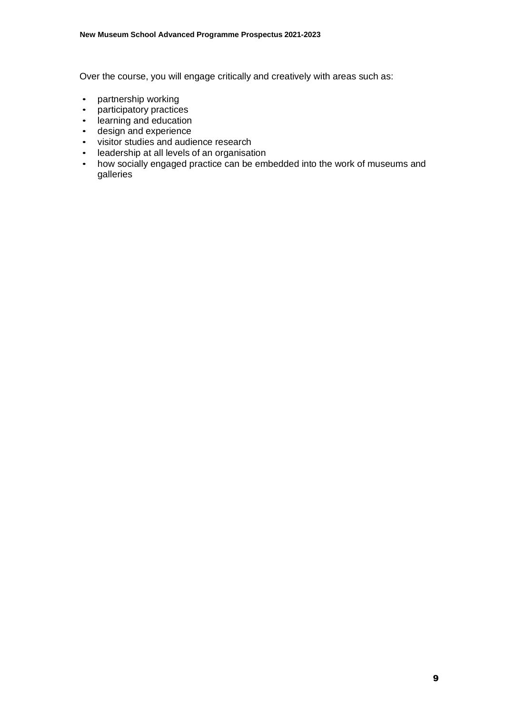Over the course, you will engage critically and creatively with areas such as:

- partnership working
- participatory practices
- learning and education
- design and experience<br>• visitor studies and audi
- visitor studies and audience research
- leadership at all levels of an organisation
- how socially engaged practice can be embedded into the work of museums and galleries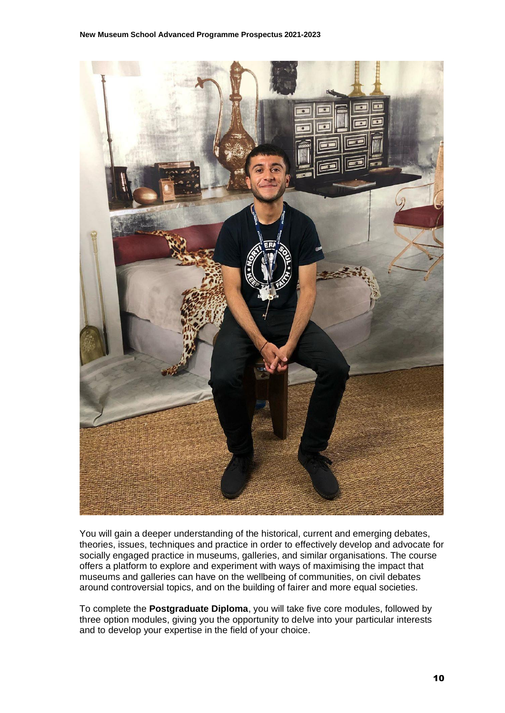

You will gain a deeper understanding of the historical, current and emerging debates, theories, issues, techniques and practice in order to effectively develop and advocate for socially engaged practice in museums, galleries, and similar organisations. The course offers a platform to explore and experiment with ways of maximising the impact that museums and galleries can have on the wellbeing of communities, on civil debates around controversial topics, and on the building of fairer and more equal societies.

To complete the **Postgraduate Diploma**, you will take five core modules, followed by three option modules, giving you the opportunity to delve into your particular interests and to develop your expertise in the field of your choice.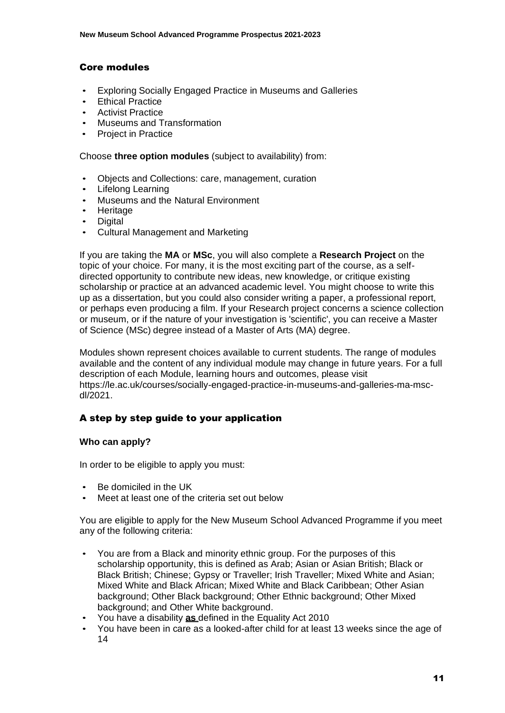## <span id="page-10-0"></span>Core modules

- Exploring Socially Engaged Practice in Museums and Galleries
- **Ethical Practice**
- Activist Practice
- Museums and Transformation
- Project in Practice

Choose **three option modules** (subject to availability) from:

- Objects and Collections: care, management, curation
- Lifelong Learning
- Museums and the Natural Environment
- Heritage
- **Digital**
- Cultural Management and Marketing

If you are taking the **MA** or **MSc**, you will also complete a **Research Project** on the topic of your choice. For many, it is the most exciting part of the course, as a selfdirected opportunity to contribute new ideas, new knowledge, or critique existing scholarship or practice at an advanced academic level. You might choose to write this up as a dissertation, but you could also consider writing a paper, a professional report, or perhaps even producing a film. If your Research project concerns a science collection or museum, or if the nature of your investigation is 'scientific', you can receive a Master of Science (MSc) degree instead of a Master of Arts (MA) degree.

Modules shown represent choices available to current students. The range of modules available and the content of any individual module may change in future years. For a full description of each Module, learning hours and outcomes, please visit [https://le.ac.uk/courses/socially-engaged-practice-in-museums-and-galleries-ma-msc](https://le.ac.uk/courses/socially-engaged-practice-in-museums-and-galleries-ma-msc-dl/2021)[dl/2021.](https://le.ac.uk/courses/socially-engaged-practice-in-museums-and-galleries-ma-msc-dl/2021)

#### <span id="page-10-1"></span>A step by step guide to your application

#### **Who can apply?**

In order to be eligible to apply you must:

- Be domiciled in the UK
- Meet at least one of the criteria set out below

You are eligible to apply for the New Museum School Advanced Programme if you meet any of the following criteria:

- You are from a Black and minority ethnic group. For the purposes of this scholarship opportunity, this is defined as Arab; Asian or Asian British; Black or Black British; Chinese; Gypsy or Traveller; Irish Traveller; Mixed White and Asian; Mixed White and Black African; Mixed White and Black Caribbean; Other Asian background; Other Black background; Other Ethnic background; Other Mixed background; and Other White background.
- You have a disability **as** defined in the Equality Act 2010
- You have been in care as a looked-after child for at least 13 weeks since the age of 14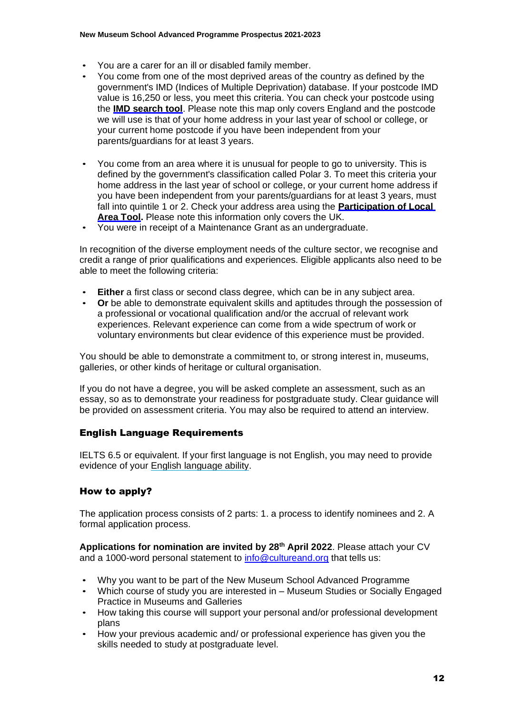- You are a carer for an ill or disabled family member.
- You come from one of the most deprived areas of the country as defined by the government's IMD (Indices of Multiple Deprivation) database. If your postcode IMD value is 16,250 or less, you meet this criteria. You can check your postcode using the **[IMD search tool](http://dclgapps.communities.gov.uk/imd/idmap.html)**. Please note this map only covers England and the postcode we will use is that of your home address in your last year of school or college, or your current home postcode if you have been independent from your parents/guardians for at least 3 years.
- You come from an area where it is unusual for people to go to university. This is defined by the government's classification called Polar 3. To meet this criteria your home address in the last year of school or college, or your current home address if you have been independent from your parents/guardians for at least 3 years, must fall into quintile 1 or 2. Check your address area using the **[Participation of Local](https://www.officeforstudents.org.uk/data-and-analysis/young-participation-by-area/) Area Tool.** Please note this information only covers the UK.
- You were in receipt of a Maintenance Grant as an undergraduate.

In recognition of the diverse employment needs of the culture sector, we recognise and credit a range of prior qualifications and experiences. Eligible applicants also need to be able to meet the following criteria:

- **Either** a first class or second class degree, which can be in any subject area.
- <span id="page-11-0"></span>• **Or** be able to demonstrate equivalent skills and aptitudes through the possession of a professional or vocational qualification and/or the accrual of relevant work experiences. Relevant experience can come from a wide spectrum of work or voluntary environments but clear evidence of this experience must be provided.

You should be able to demonstrate a commitment to, or strong interest in, museums, galleries, or other kinds of heritage or cultural organisation.

<span id="page-11-1"></span>If you do not have a degree, you will be asked complete an assessment, such as an essay, so as to demonstrate your readiness for postgraduate study. Clear guidance will be provided on assessment criteria. You may also be required to attend an interview.

## English Language Requirements

IELTS 6.5 or equivalent. If your first language is not English, you may need to provide evidence of your English [language](https://le.ac.uk/study/international-students/english-language-requirements) ability.

## How to apply?

The application process consists of 2 parts: 1. a process to identify nominees and 2. A formal application process.

**Applications for nomination are invited by 28th April 2022**. Please attach your CV and a 1000-word personal statement to [info@cultureand.org](mailto:info@cultureand.org) that tells us:

- Why you want to be part of the New Museum School Advanced Programme
- Which course of study you are interested in Museum Studies or Socially Engaged Practice in Museums and Galleries
- How taking this course will support your personal and/or professional development plans
- How your previous academic and/ or professional experience has given you the skills needed to study at postgraduate level.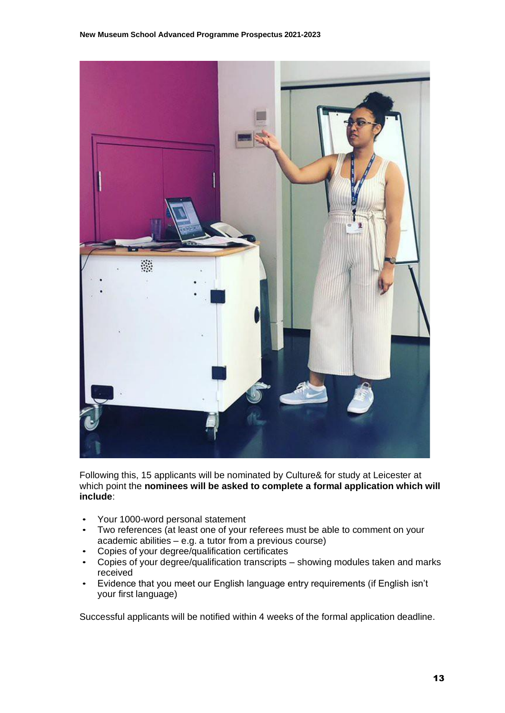

Following this, 15 applicants will be nominated by Culture& for study at Leicester at which point the **nominees will be asked to complete a formal application which will include**:

- Your 1000-word personal statement
- Two references (at least one of your referees must be able to comment on your academic abilities – e.g. a tutor from a previous course)
- Copies of your degree/qualification certificates
- Copies of your degree/qualification transcripts showing modules taken and marks received
- Evidence that you meet our English language entry requirements (if English isn't your first language)

Successful applicants will be notified within 4 weeks of the formal application deadline.